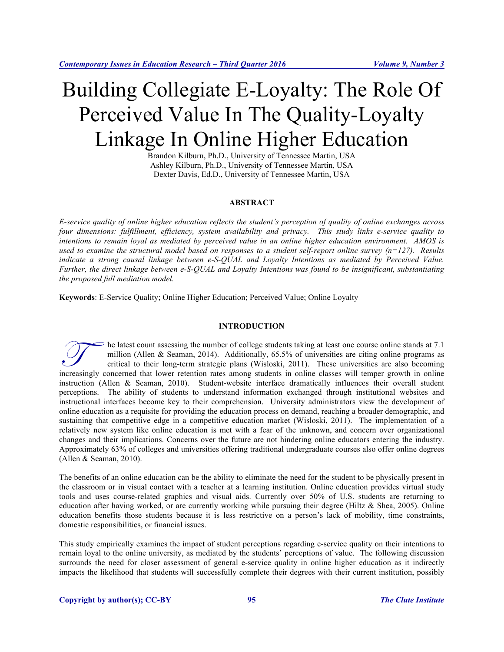# Building Collegiate E-Loyalty: The Role Of Perceived Value In The Quality-Loyalty Linkage In Online Higher Education

Brandon Kilburn, Ph.D., University of Tennessee Martin, USA Ashley Kilburn, Ph.D., University of Tennessee Martin, USA Dexter Davis, Ed.D., University of Tennessee Martin, USA

# **ABSTRACT**

*E-service quality of online higher education reflects the student's perception of quality of online exchanges across four dimensions: fulfillment, efficiency, system availability and privacy. This study links e-service quality to intentions to remain loyal as mediated by perceived value in an online higher education environment. AMOS is used to examine the structural model based on responses to a student self-report online survey (n=127). Results indicate a strong causal linkage between e-S-QUAL and Loyalty Intentions as mediated by Perceived Value. Further, the direct linkage between e-S-QUAL and Loyalty Intentions was found to be insignificant, substantiating the proposed full mediation model.*

**Keywords**: E-Service Quality; Online Higher Education; Perceived Value; Online Loyalty

#### **INTRODUCTION**

he latest count assessing the number of college students taking at least one course online stands at 7.1 million (Allen & Seaman, 2014). Additionally,  $65.5\%$  of universities are citing online programs as critical to their long-term strategic plans (Wisloski, 2011). These universities are also becoming Increasing the number of college students taking at least one course online stands at 7.1 million (Allen & Seaman, 2014). Additionally, 65.5% of universities are citing online programs as critical to their long-term strate instruction (Allen & Seaman, 2010). Student-website interface dramatically influences their overall student perceptions. The ability of students to understand information exchanged through institutional websites and instructional interfaces become key to their comprehension. University administrators view the development of online education as a requisite for providing the education process on demand, reaching a broader demographic, and sustaining that competitive edge in a competitive education market (Wisloski, 2011). The implementation of a relatively new system like online education is met with a fear of the unknown, and concern over organizational changes and their implications. Concerns over the future are not hindering online educators entering the industry. Approximately 63% of colleges and universities offering traditional undergraduate courses also offer online degrees (Allen & Seaman, 2010).

The benefits of an online education can be the ability to eliminate the need for the student to be physically present in the classroom or in visual contact with a teacher at a learning institution. Online education provides virtual study tools and uses course-related graphics and visual aids. Currently over 50% of U.S. students are returning to education after having worked, or are currently working while pursuing their degree (Hiltz  $\&$  Shea, 2005). Online education benefits those students because it is less restrictive on a person's lack of mobility, time constraints, domestic responsibilities, or financial issues.

This study empirically examines the impact of student perceptions regarding e-service quality on their intentions to remain loyal to the online university, as mediated by the students' perceptions of value. The following discussion surrounds the need for closer assessment of general e-service quality in online higher education as it indirectly impacts the likelihood that students will successfully complete their degrees with their current institution, possibly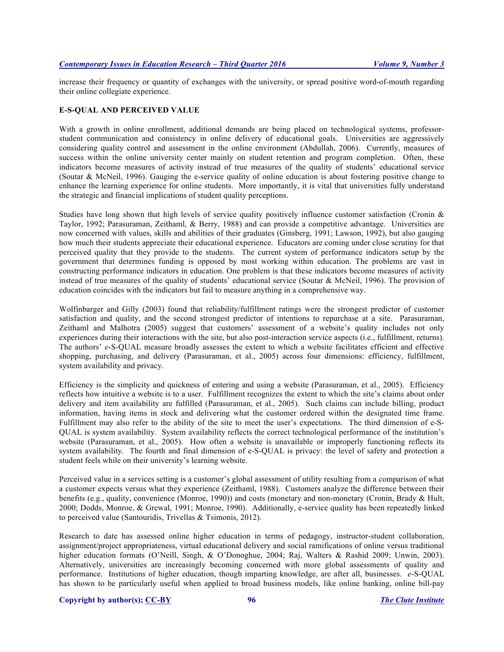increase their frequency or quantity of exchanges with the university, or spread positive word-of-mouth regarding their online collegiate experience.

#### **E-S-QUAL AND PERCEIVED VALUE**

With a growth in online enrollment, additional demands are being placed on technological systems, professorstudent communication and consistency in online delivery of educational goals. Universities are aggressively considering quality control and assessment in the online environment (Abdullah, 2006). Currently, measures of success within the online university center mainly on student retention and program completion. Often, these indicators become measures of activity instead of true measures of the quality of students' educational service (Soutar & McNeil, 1996). Gauging the e-service quality of online education is about fostering positive change to enhance the learning experience for online students. More importantly, it is vital that universities fully understand the strategic and financial implications of student quality perceptions.

Studies have long shown that high levels of service quality positively influence customer satisfaction (Cronin  $\&$ Taylor, 1992; Parasuraman, Zeithaml, & Berry, 1988) and can provide a competitive advantage. Universities are now concerned with values, skills and abilities of their graduates (Ginsberg, 1991; Lawson, 1992), but also gauging how much their students appreciate their educational experience. Educators are coming under close scrutiny for that perceived quality that they provide to the students. The current system of performance indicators setup by the government that determines funding is opposed by most working within education. The problems are vast in constructing performance indicators in education. One problem is that these indicators become measures of activity instead of true measures of the quality of students' educational service (Soutar & McNeil, 1996). The provision of education coincides with the indicators but fail to measure anything in a comprehensive way.

Wolfinbarger and Gilly (2003) found that reliability/fulfillment ratings were the strongest predictor of customer satisfaction and quality, and the second strongest predictor of intentions to repurchase at a site. Parasuraman, Zeithaml and Malhotra (2005) suggest that customers' assessment of a website's quality includes not only experiences during their interactions with the site, but also post-interaction service aspects (i.e., fulfillment, returns). The authors' *e*-S-QUAL measure broadly assesses the extent to which a website facilitates efficient and effective shopping, purchasing, and delivery (Parasuraman, et al., 2005) across four dimensions: efficiency, fulfillment, system availability and privacy.

Efficiency is the simplicity and quickness of entering and using a website (Parasuraman, et al., 2005). Efficiency reflects how intuitive a website is to a user. Fulfillment recognizes the extent to which the site's claims about order delivery and item availability are fulfilled (Parasuraman, et al., 2005). Such claims can include billing, product information, having items in stock and delivering what the customer ordered within the designated time frame. Fulfillment may also refer to the ability of the site to meet the user's expectations. The third dimension of e-S-QUAL is system availability. System availability reflects the correct technological performance of the institution's website (Parasuraman, et al., 2005). How often a website is unavailable or improperly functioning reflects its system availability. The fourth and final dimension of e-S-QUAL is privacy: the level of safety and protection a student feels while on their university's learning website.

Perceived value in a services setting is a customer's global assessment of utility resulting from a comparison of what a customer expects versus what they experience (Zeithaml, 1988). Customers analyze the difference between their benefits (e.g., quality, convenience (Monroe, 1990)) and costs (monetary and non-monetary (Cronin, Brady & Hult, 2000; Dodds, Monroe, & Grewal, 1991; Monroe, 1990). Additionally, e-service quality has been repeatedly linked to perceived value (Santouridis, Trivellas & Tsimonis, 2012).

Research to date has assessed online higher education in terms of pedagogy, instructor-student collaboration, assignment/project appropriateness, virtual educational delivery and social ramifications of online versus traditional higher education formats (O'Neill, Singh, & O'Donoghue, 2004; Raj, Walters & Rashid 2009; Unwin, 2003). Alternatively, universities are increasingly becoming concerned with more global assessments of quality and performance. Institutions of higher education, though imparting knowledge, are after all, businesses. *e*-S-QUAL has shown to be particularly useful when applied to broad business models, like online banking, online bill-pay

### **Copyright by author(s); CC-BY 96** *The Clute Institute*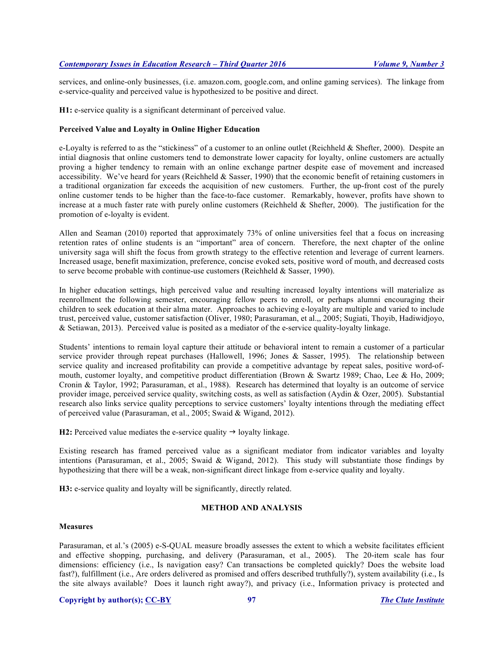services, and online-only businesses, (i.e. amazon.com, google.com, and online gaming services). The linkage from e-service-quality and perceived value is hypothesized to be positive and direct.

**H1:** e-service quality is a significant determinant of perceived value.

# **Perceived Value and Loyalty in Online Higher Education**

e-Loyalty is referred to as the "stickiness" of a customer to an online outlet (Reichheld & Shefter, 2000). Despite an intial diagnosis that online customers tend to demonstrate lower capacity for loyalty, online customers are actually proving a higher tendency to remain with an online exchange partner despite ease of movement and increased accessibility. We've heard for years (Reichheld & Sasser, 1990) that the economic benefit of retaining customers in a traditional organization far exceeds the acquisition of new customers. Further, the up-front cost of the purely online customer tends to be higher than the face-to-face customer. Remarkably, however, profits have shown to increase at a much faster rate with purely online customers (Reichheld & Shefter, 2000). The justification for the promotion of e-loyalty is evident.

Allen and Seaman (2010) reported that approximately 73% of online universities feel that a focus on increasing retention rates of online students is an "important" area of concern. Therefore, the next chapter of the online university saga will shift the focus from growth strategy to the effective retention and leverage of current learners. Increased usage, benefit maximization, preference, concise evoked sets, positive word of mouth, and decreased costs to serve become probable with continue-use customers (Reichheld & Sasser, 1990).

In higher education settings, high perceived value and resulting increased loyalty intentions will materialize as reenrollment the following semester, encouraging fellow peers to enroll, or perhaps alumni encouraging their children to seek education at their alma mater. Approaches to achieving e-loyalty are multiple and varied to include trust, perceived value, customer satisfaction (Oliver, 1980; Parasuraman, et al.,, 2005; Sugiati, Thoyib, Hadiwidjoyo, & Setiawan, 2013). Perceived value is posited as a mediator of the e-service quality-loyalty linkage.

Students' intentions to remain loyal capture their attitude or behavioral intent to remain a customer of a particular service provider through repeat purchases (Hallowell, 1996; Jones & Sasser, 1995). The relationship between service quality and increased profitability can provide a competitive advantage by repeat sales, positive word-ofmouth, customer loyalty, and competitive product differentiation (Brown & Swartz 1989; Chao, Lee & Ho, 2009; Cronin & Taylor, 1992; Parasuraman, et al., 1988). Research has determined that loyalty is an outcome of service provider image, perceived service quality, switching costs, as well as satisfaction (Aydin & Ozer, 2005). Substantial research also links service quality perceptions to service customers' loyalty intentions through the mediating effect of perceived value (Parasuraman, et al., 2005; Swaid & Wigand, 2012).

**H2:** Perceived value mediates the e-service quality  $\rightarrow$  loyalty linkage.

Existing research has framed perceived value as a significant mediator from indicator variables and loyalty intentions (Parasuraman, et al., 2005; Swaid & Wigand, 2012). This study will substantiate those findings by hypothesizing that there will be a weak, non-significant direct linkage from e-service quality and loyalty.

**H3:** e-service quality and loyalty will be significantly, directly related.

# **METHOD AND ANALYSIS**

# **Measures**

Parasuraman, et al.'s (2005) e-S-QUAL measure broadly assesses the extent to which a website facilitates efficient and effective shopping, purchasing, and delivery (Parasuraman, et al., 2005). The 20-item scale has four dimensions: efficiency (i.e., Is navigation easy? Can transactions be completed quickly? Does the website load fast?), fulfillment (i.e., Are orders delivered as promised and offers described truthfully?), system availability (i.e., Is the site always available? Does it launch right away?), and privacy (i.e., Information privacy is protected and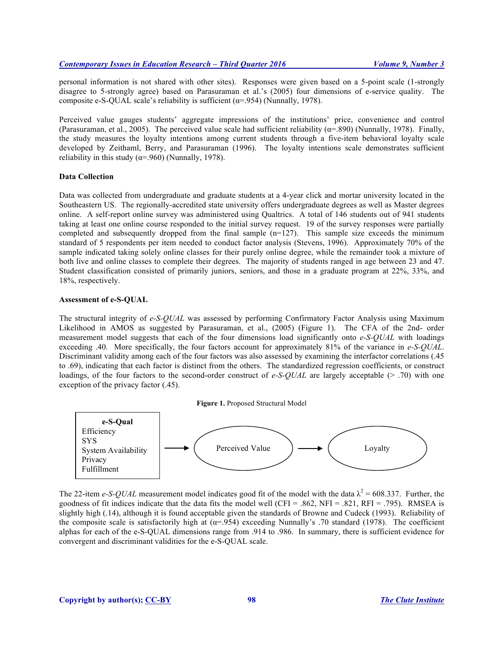personal information is not shared with other sites). Responses were given based on a 5-point scale (1-strongly disagree to 5-strongly agree) based on Parasuraman et al.'s (2005) four dimensions of e-service quality. The composite e-S-QUAL scale's reliability is sufficient ( $\alpha$ =.954) (Nunnally, 1978).

Perceived value gauges students' aggregate impressions of the institutions' price, convenience and control (Parasuraman, et al., 2005). The perceived value scale had sufficient reliability ( $\alpha$ =.890) (Nunnally, 1978). Finally, the study measures the loyalty intentions among current students through a five-item behavioral loyalty scale developed by Zeithaml, Berry, and Parasuraman (1996). The loyalty intentions scale demonstrates sufficient reliability in this study ( $\alpha$ =.960) (Nunnally, 1978).

# **Data Collection**

Data was collected from undergraduate and graduate students at a 4-year click and mortar university located in the Southeastern US. The regionally-accredited state university offers undergraduate degrees as well as Master degrees online. A self-report online survey was administered using Qualtrics. A total of 146 students out of 941 students taking at least one online course responded to the initial survey request. 19 of the survey responses were partially completed and subsequently dropped from the final sample  $(n=127)$ . This sample size exceeds the minimum standard of 5 respondents per item needed to conduct factor analysis (Stevens, 1996). Approximately 70% of the sample indicated taking solely online classes for their purely online degree, while the remainder took a mixture of both live and online classes to complete their degrees. The majority of students ranged in age between 23 and 47. Student classification consisted of primarily juniors, seniors, and those in a graduate program at 22%, 33%, and 18%, respectively.

#### **Assessment of e-S-QUAL**

The structural integrity of *e-S-QUAL* was assessed by performing Confirmatory Factor Analysis using Maximum Likelihood in AMOS as suggested by Parasuraman, et al., (2005) (Figure 1). The CFA of the 2nd- order measurement model suggests that each of the four dimensions load significantly onto *e-S-QUAL* with loadings exceeding .40. More specifically, the four factors account for approximately 81% of the variance in *e-S-QUAL*. Discriminant validity among each of the four factors was also assessed by examining the interfactor correlations (.45 to .69), indicating that each factor is distinct from the others. The standardized regression coefficients, or construct loadings, of the four factors to the second-order construct of *e-S-QUAL* are largely acceptable (> .70) with one exception of the privacy factor (.45).





The 22-item *e-S-QUAL* measurement model indicates good fit of the model with the data  $\lambda^2 = 608.337$ . Further, the goodness of fit indices indicate that the data fits the model well (CFI = .862, NFI = .821, RFI = .795). RMSEA is slightly high (.14), although it is found acceptable given the standards of Browne and Cudeck (1993). Reliability of the composite scale is satisfactorily high at ( $\alpha$ =.954) exceeding Nunnally's .70 standard (1978). The coefficient alphas for each of the e-S-QUAL dimensions range from .914 to .986. In summary, there is sufficient evidence for convergent and discriminant validities for the e-S-QUAL scale.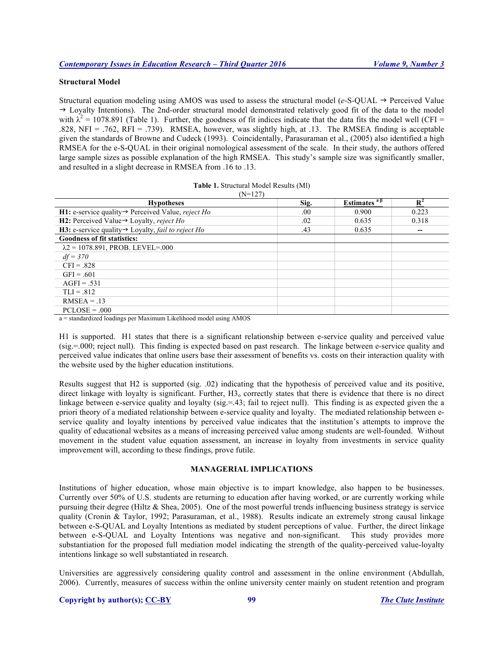# **Structural Model**

Structural equation modeling using AMOS was used to assess the structural model ( $e$ -S-QUAL  $\rightarrow$  Perceived Value  $\rightarrow$  Loyalty Intentions). The 2nd-order structural model demonstrated relatively good fit of the data to the model with  $\lambda^2 = 1078.891$  (Table 1). Further, the goodness of fit indices indicate that the data fits the model well (CFI = .828, NFI = .762, RFI = .739). RMSEA, however, was slightly high, at .13. The RMSEA finding is acceptable given the standards of Browne and Cudeck (1993). Coincidentally, Parasuraman et al., (2005) also identified a high RMSEA for the e-S-QUAL in their original nomological assessment of the scale. In their study, the authors offered large sample sizes as possible explanation of the high RMSEA. This study's sample size was significantly smaller, and resulted in a slight decrease in RMSEA from .16 to .13.

| <b>Table 1. Structural Model Results (MI)</b> |  |
|-----------------------------------------------|--|
| $(\mathcal{N} = 127)$                         |  |

| 111 1277<br><b>Hypotheses</b>                                                | Sig. | Estimates $a\beta$ | $\mathbf{D}^2$ |
|------------------------------------------------------------------------------|------|--------------------|----------------|
| <b>H1:</b> e-service quality $\rightarrow$ Perceived Value, <i>reject Ho</i> | .00. | 0.900              | 0.223          |
| <b>H2:</b> Perceived Value $\rightarrow$ Loyalty, reject Ho                  | .02  | 0.635              | 0.318          |
| <b>H3:</b> e-service quality $\rightarrow$ Loyalty, <i>fail to reject Ho</i> | .43  | 0.635              |                |
| <b>Goodness of fit statistics:</b>                                           |      |                    |                |
| $\lambda$ 2 = 1078.891, PROB. LEVEL=.000                                     |      |                    |                |
| $df = 370$                                                                   |      |                    |                |
| $CFI = .828$                                                                 |      |                    |                |
| $GFI = .601$                                                                 |      |                    |                |
| $AGFI = .531$                                                                |      |                    |                |
| $TLI = .812$                                                                 |      |                    |                |
| $RMSEA = .13$                                                                |      |                    |                |
| $PCLOSE = .000$                                                              |      |                    |                |

a = standardized loadings per Maximum Likelihood model using AMOS

H1 is supported. H1 states that there is a significant relationship between e-service quality and perceived value (sig.=.000; reject null). This finding is expected based on past research. The linkage between e-service quality and perceived value indicates that online users base their assessment of benefits vs. costs on their interaction quality with the website used by the higher education institutions.

Results suggest that H2 is supported (sig. .02) indicating that the hypothesis of perceived value and its positive, direct linkage with loyalty is significant. Further, H<sub>3</sub><sub>0</sub> correctly states that there is evidence that there is no direct linkage between e-service quality and loyalty (sig.=.43; fail to reject null). This finding is as expected given the a priori theory of a mediated relationship between e-service quality and loyalty. The mediated relationship between eservice quality and loyalty intentions by perceived value indicates that the institution's attempts to improve the quality of educational websites as a means of increasing perceived value among students are well-founded. Without movement in the student value equation assessment, an increase in loyalty from investments in service quality improvement will, according to these findings, prove futile.

# **MANAGERIAL IMPLICATIONS**

Institutions of higher education, whose main objective is to impart knowledge, also happen to be businesses. Currently over 50% of U.S. students are returning to education after having worked, or are currently working while pursuing their degree (Hiltz & Shea, 2005). One of the most powerful trends influencing business strategy is service quality (Cronin & Taylor, 1992; Parasuraman, et al., 1988). Results indicate an extremely strong causal linkage between e-S-QUAL and Loyalty Intentions as mediated by student perceptions of value. Further, the direct linkage between e-S-QUAL and Loyalty Intentions was negative and non-significant. This study provides more substantiation for the proposed full mediation model indicating the strength of the quality-perceived value-loyalty intentions linkage so well substantiated in research.

Universities are aggressively considering quality control and assessment in the online environment (Abdullah, 2006). Currently, measures of success within the online university center mainly on student retention and program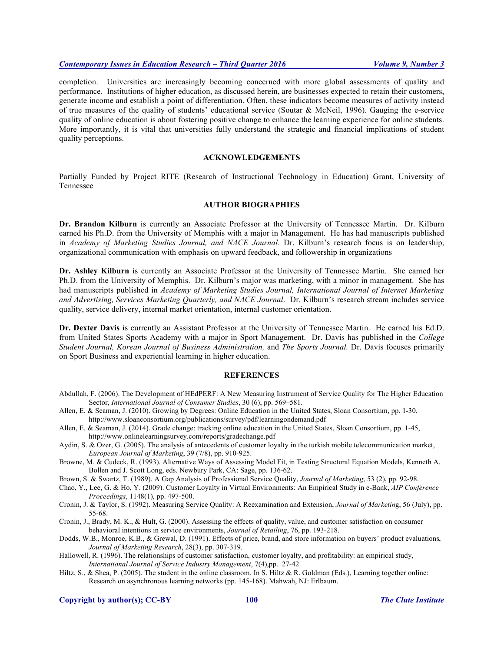# *Contemporary Issues in Education Research – Third Quarter 2016 Volume 9, Number 3*

completion. Universities are increasingly becoming concerned with more global assessments of quality and performance. Institutions of higher education, as discussed herein, are businesses expected to retain their customers, generate income and establish a point of differentiation. Often, these indicators become measures of activity instead of true measures of the quality of students' educational service (Soutar & McNeil, 1996). Gauging the e-service quality of online education is about fostering positive change to enhance the learning experience for online students. More importantly, it is vital that universities fully understand the strategic and financial implications of student quality perceptions.

# **ACKNOWLEDGEMENTS**

Partially Funded by Project RITE (Research of Instructional Technology in Education) Grant, University of Tennessee

# **AUTHOR BIOGRAPHIES**

**Dr. Brandon Kilburn** is currently an Associate Professor at the University of Tennessee Martin. Dr. Kilburn earned his Ph.D. from the University of Memphis with a major in Management. He has had manuscripts published in *Academy of Marketing Studies Journal, and NACE Journal.* Dr. Kilburn's research focus is on leadership, organizational communication with emphasis on upward feedback, and followership in organizations

**Dr. Ashley Kilburn** is currently an Associate Professor at the University of Tennessee Martin. She earned her Ph.D. from the University of Memphis. Dr. Kilburn's major was marketing, with a minor in management. She has had manuscripts published in *Academy of Marketing Studies Journal, International Journal of Internet Marketing and Advertising, Services Marketing Quarterly, and NACE Journal*. Dr. Kilburn's research stream includes service quality, service delivery, internal market orientation, internal customer orientation.

**Dr. Dexter Davis** is currently an Assistant Professor at the University of Tennessee Martin. He earned his Ed.D. from United States Sports Academy with a major in Sport Management. Dr. Davis has published in the *College Student Journal, Korean Journal of Business Administration,* and *The Sports Journal.* Dr. Davis focuses primarily on Sport Business and experiential learning in higher education.

#### **REFERENCES**

- Abdullah, F. (2006). The Development of HEdPERF: A New Measuring Instrument of Service Quality for The Higher Education Sector, *International Journal of Consumer Studies*, 30 (6), pp. 569–581.
- Allen, E. & Seaman, J. (2010). Growing by Degrees: Online Education in the United States, Sloan Consortium, pp. 1-30, http://www.sloanconsortium.org/publications/survey/pdf/learningondemand.pdf
- Allen, E. & Seaman, J. (2014). Grade change: tracking online education in the United States, Sloan Consortium, pp. 1-45, http://www.onlinelearningsurvey.com/reports/gradechange.pdf
- Aydin, S. & Ozer, G. (2005). The analysis of antecedents of customer loyalty in the turkish mobile telecommunication market, *European Journal of Marketing*, 39 (7/8), pp. 910-925.
- Browne, M. & Cudeck, R. (1993). Alternative Ways of Assessing Model Fit, in Testing Structural Equation Models, Kenneth A. Bollen and J. Scott Long, eds. Newbury Park, CA: Sage, pp. 136-62.
- Brown, S. & Swartz, T. (1989). A Gap Analysis of Professional Service Quality, *Journal of Marketing*, 53 (2), pp. 92-98.
- Chao, Y., Lee, G. & Ho, Y. (2009). Customer Loyalty in Virtual Environments: An Empirical Study in e-Bank, *AIP Conference Proceedings*, 1148(1), pp. 497-500.
- Cronin, J. & Taylor, S. (1992). Measuring Service Quality: A Reexamination and Extension, *Journal of Marketin*g, 56 (July), pp. 55-68.
- Cronin, J., Brady, M. K., & Hult, G. (2000). Assessing the effects of quality, value, and customer satisfaction on consumer behavioral intentions in service environments, *Journal of Retailing*, 76, pp. 193-218.
- Dodds, W.B., Monroe, K.B., & Grewal, D. (1991). Effects of price, brand, and store information on buyers' product evaluations, *Journal of Marketing Research*, 28(3), pp. 307-319.
- Hallowell, R. (1996). The relationships of customer satisfaction, customer loyalty, and profitability: an empirical study, *International Journal of Service Industry Management*, 7(4),pp. 27-42.
- Hiltz, S., & Shea, P. (2005). The student in the online classroom. In S. Hiltz & R. Goldman (Eds.), Learning together online: Research on asynchronous learning networks (pp. 145-168). Mahwah, NJ: Erlbaum.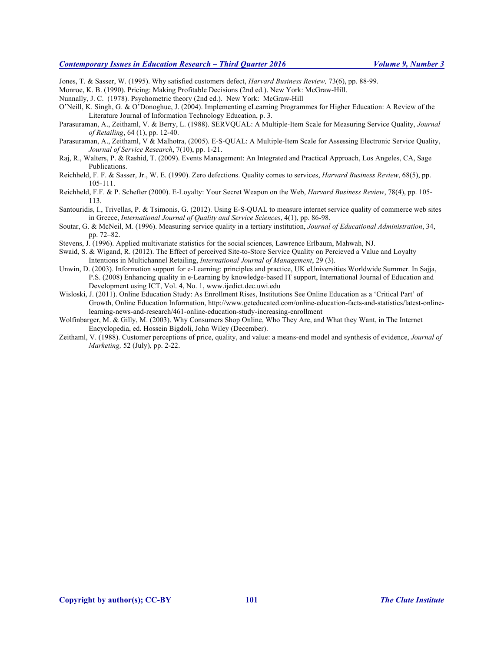# *Contemporary Issues in Education Research – Third Quarter 2016 Volume 9, Number 3*

Jones, T. & Sasser, W. (1995). Why satisfied customers defect, *Harvard Business Review,* 73(6), pp. 88-99.

Monroe, K. B. (1990). Pricing: Making Profitable Decisions (2nd ed.). New York: McGraw-Hill.

Nunnally, J. C. (1978). Psychometric theory (2nd ed.). New York: McGraw-Hill

O'Neill, K. Singh, G. & O'Donoghue, J. (2004). Implementing eLearning Programmes for Higher Education: A Review of the Literature Journal of Information Technology Education, p. 3.

Parasuraman, A., Zeithaml, V. & Berry, L. (1988). SERVQUAL: A Multiple-Item Scale for Measuring Service Quality, *Journal of Retailing*, 64 (1), pp. 12-40.

Parasuraman, A., Zeithaml, V & Malhotra, (2005). E-S-QUAL: A Multiple-Item Scale for Assessing Electronic Service Quality, *Journal of Service Research*, 7(10), pp. 1-21.

Raj, R., Walters, P. & Rashid, T. (2009). Events Management: An Integrated and Practical Approach, Los Angeles, CA, Sage Publications.

Reichheld, F. F. & Sasser, Jr., W. E. (1990). Zero defections. Quality comes to services, *Harvard Business Review*, 68(5), pp. 105-111.

Reichheld, F.F. & P. Schefter (2000). E-Loyalty: Your Secret Weapon on the Web, *Harvard Business Review*, 78(4), pp. 105- 113.

Santouridis, I., Trivellas, P. & Tsimonis, G. (2012). Using E-S-QUAL to measure internet service quality of commerce web sites in Greece, *International Journal of Quality and Service Sciences*, 4(1), pp. 86-98.

Soutar, G. & McNeil, M. (1996). Measuring service quality in a tertiary institution, *Journal of Educational Administration*, 34, pp. 72–82.

Stevens, J. (1996). Applied multivariate statistics for the social sciences, Lawrence Erlbaum, Mahwah, NJ.

Swaid, S. & Wigand, R. (2012). The Effect of perceived Site-to-Store Service Quality on Percieved a Value and Loyalty Intentions in Multichannel Retailing, *International Journal of Management*, 29 (3).

Unwin, D. (2003). Information support for e-Learning: principles and practice, UK eUniversities Worldwide Summer. In Sajja, P.S. (2008) Enhancing quality in e-Learning by knowledge-based IT support, International Journal of Education and Development using ICT, Vol. 4, No. 1, www.ijedict.dec.uwi.edu

Wisloski, J. (2011). Online Education Study: As Enrollment Rises, Institutions See Online Education as a 'Critical Part' of Growth, Online Education Information, http://www.geteducated.com/online-education-facts-and-statistics/latest-onlinelearning-news-and-research/461-online-education-study-increasing-enrollment

Wolfinbarger, M. & Gilly, M. (2003). Why Consumers Shop Online, Who They Are, and What they Want, in The Internet Encyclopedia, ed. Hossein Bigdoli, John Wiley (December).

Zeithaml, V. (1988). Customer perceptions of price, quality, and value: a means-end model and synthesis of evidence, *Journal of Marketing,* 52 (July), pp. 2-22.